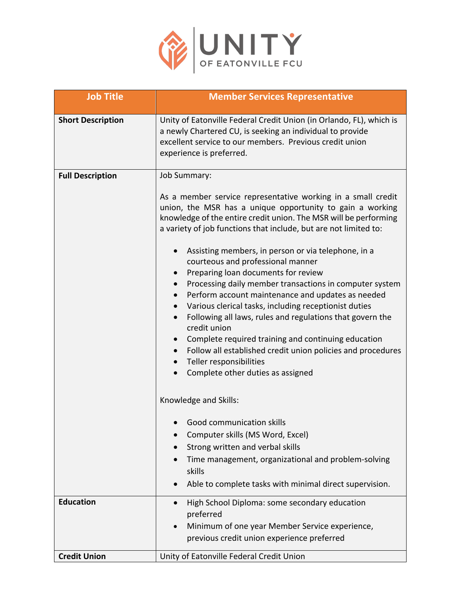

| <b>Job Title</b>         | <b>Member Services Representative</b>                                                                                                                                                                                                                                                                                                                                                                                                                                                                                                                                                    |
|--------------------------|------------------------------------------------------------------------------------------------------------------------------------------------------------------------------------------------------------------------------------------------------------------------------------------------------------------------------------------------------------------------------------------------------------------------------------------------------------------------------------------------------------------------------------------------------------------------------------------|
| <b>Short Description</b> | Unity of Eatonville Federal Credit Union (in Orlando, FL), which is<br>a newly Chartered CU, is seeking an individual to provide<br>excellent service to our members. Previous credit union<br>experience is preferred.                                                                                                                                                                                                                                                                                                                                                                  |
| <b>Full Description</b>  | Job Summary:                                                                                                                                                                                                                                                                                                                                                                                                                                                                                                                                                                             |
|                          | As a member service representative working in a small credit<br>union, the MSR has a unique opportunity to gain a working<br>knowledge of the entire credit union. The MSR will be performing<br>a variety of job functions that include, but are not limited to:                                                                                                                                                                                                                                                                                                                        |
|                          | Assisting members, in person or via telephone, in a<br>courteous and professional manner<br>Preparing loan documents for review<br>Processing daily member transactions in computer system<br>Perform account maintenance and updates as needed<br>Various clerical tasks, including receptionist duties<br>Following all laws, rules and regulations that govern the<br>credit union<br>Complete required training and continuing education<br>Follow all established credit union policies and procedures<br>$\bullet$<br>Teller responsibilities<br>Complete other duties as assigned |
|                          | Knowledge and Skills:                                                                                                                                                                                                                                                                                                                                                                                                                                                                                                                                                                    |
|                          | Good communication skills<br>Computer skills (MS Word, Excel)<br>Strong written and verbal skills<br>Time management, organizational and problem-solving<br>skills<br>Able to complete tasks with minimal direct supervision.                                                                                                                                                                                                                                                                                                                                                            |
| <b>Education</b>         | High School Diploma: some secondary education<br>$\bullet$                                                                                                                                                                                                                                                                                                                                                                                                                                                                                                                               |
|                          | preferred<br>Minimum of one year Member Service experience,<br>previous credit union experience preferred                                                                                                                                                                                                                                                                                                                                                                                                                                                                                |
| <b>Credit Union</b>      | Unity of Eatonville Federal Credit Union                                                                                                                                                                                                                                                                                                                                                                                                                                                                                                                                                 |